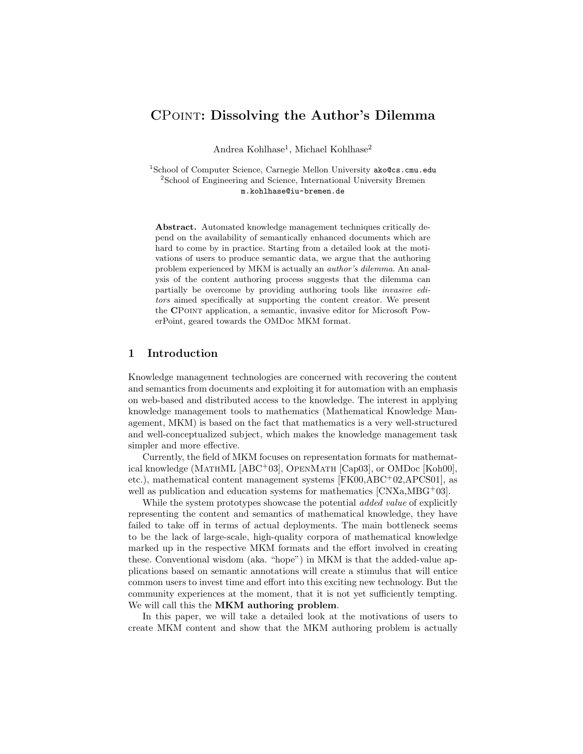# CPoint: Dissolving the Author's Dilemma

Andrea Kohlhase<sup>1</sup>, Michael Kohlhase<sup>2</sup>

<sup>1</sup>School of Computer Science, Carnegie Mellon University ako@cs.cmu.edu <sup>2</sup>School of Engineering and Science, International University Bremen m.kohlhase@iu-bremen.de

Abstract. Automated knowledge management techniques critically depend on the availability of semantically enhanced documents which are hard to come by in practice. Starting from a detailed look at the motivations of users to produce semantic data, we argue that the authoring problem experienced by MKM is actually an author's dilemma. An analysis of the content authoring process suggests that the dilemma can partially be overcome by providing authoring tools like invasive editors aimed specifically at supporting the content creator. We present the CPoint application, a semantic, invasive editor for Microsoft PowerPoint, geared towards the OMDoc MKM format.

### 1 Introduction

Knowledge management technologies are concerned with recovering the content and semantics from documents and exploiting it for automation with an emphasis on web-based and distributed access to the knowledge. The interest in applying knowledge management tools to mathematics (Mathematical Knowledge Management, MKM) is based on the fact that mathematics is a very well-structured and well-conceptualized subject, which makes the knowledge management task simpler and more effective.

Currently, the field of MKM focuses on representation formats for mathematical knowledge (MathML [ABC+03], OpenMath [Cap03], or OMDoc [Koh00], etc.), mathematical content management systems [FK00,ABC+02,APCS01], as well as publication and education systems for mathematics [CNXa,MBG<sup>+</sup>03].

While the system prototypes showcase the potential *added value* of explicitly representing the content and semantics of mathematical knowledge, they have failed to take off in terms of actual deployments. The main bottleneck seems to be the lack of large-scale, high-quality corpora of mathematical knowledge marked up in the respective MKM formats and the effort involved in creating these. Conventional wisdom (aka. "hope") in MKM is that the added-value applications based on semantic annotations will create a stimulus that will entice common users to invest time and effort into this exciting new technology. But the community experiences at the moment, that it is not yet sufficiently tempting. We will call this the **MKM** authoring problem.

In this paper, we will take a detailed look at the motivations of users to create MKM content and show that the MKM authoring problem is actually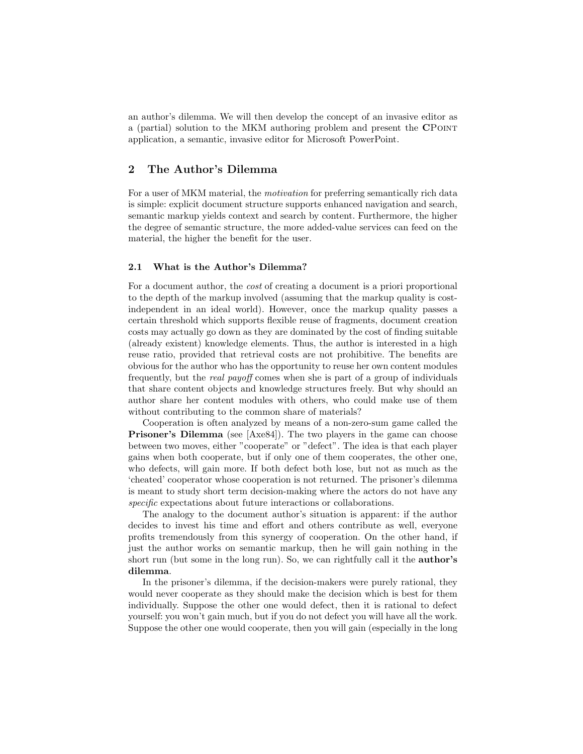an author's dilemma. We will then develop the concept of an invasive editor as a (partial) solution to the MKM authoring problem and present the CPoint application, a semantic, invasive editor for Microsoft PowerPoint.

## 2 The Author's Dilemma

For a user of MKM material, the motivation for preferring semantically rich data is simple: explicit document structure supports enhanced navigation and search, semantic markup yields context and search by content. Furthermore, the higher the degree of semantic structure, the more added-value services can feed on the material, the higher the benefit for the user.

#### 2.1 What is the Author's Dilemma?

For a document author, the cost of creating a document is a priori proportional to the depth of the markup involved (assuming that the markup quality is costindependent in an ideal world). However, once the markup quality passes a certain threshold which supports flexible reuse of fragments, document creation costs may actually go down as they are dominated by the cost of finding suitable (already existent) knowledge elements. Thus, the author is interested in a high reuse ratio, provided that retrieval costs are not prohibitive. The benefits are obvious for the author who has the opportunity to reuse her own content modules frequently, but the real payoff comes when she is part of a group of individuals that share content objects and knowledge structures freely. But why should an author share her content modules with others, who could make use of them without contributing to the common share of materials?

Cooperation is often analyzed by means of a non-zero-sum game called the Prisoner's Dilemma (see [Axe84]). The two players in the game can choose between two moves, either "cooperate" or "defect". The idea is that each player gains when both cooperate, but if only one of them cooperates, the other one, who defects, will gain more. If both defect both lose, but not as much as the 'cheated' cooperator whose cooperation is not returned. The prisoner's dilemma is meant to study short term decision-making where the actors do not have any specific expectations about future interactions or collaborations.

The analogy to the document author's situation is apparent: if the author decides to invest his time and effort and others contribute as well, everyone profits tremendously from this synergy of cooperation. On the other hand, if just the author works on semantic markup, then he will gain nothing in the short run (but some in the long run). So, we can rightfully call it the **author's** dilemma.

In the prisoner's dilemma, if the decision-makers were purely rational, they would never cooperate as they should make the decision which is best for them individually. Suppose the other one would defect, then it is rational to defect yourself: you won't gain much, but if you do not defect you will have all the work. Suppose the other one would cooperate, then you will gain (especially in the long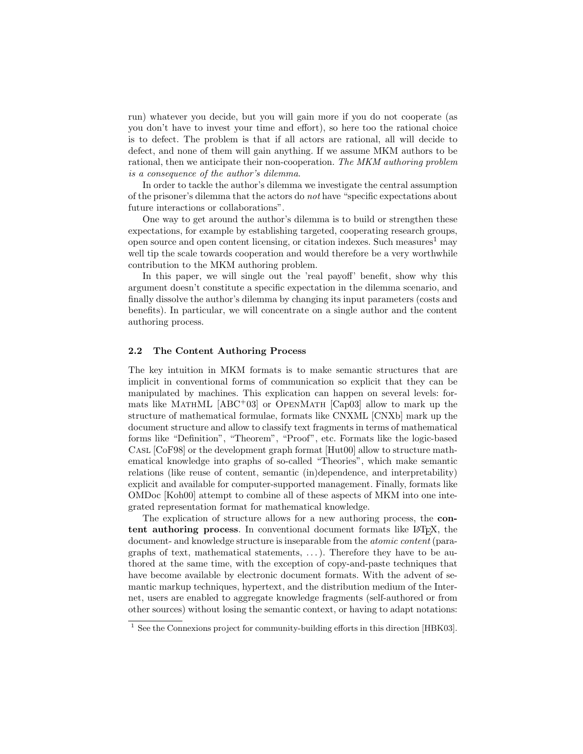run) whatever you decide, but you will gain more if you do not cooperate (as you don't have to invest your time and effort), so here too the rational choice is to defect. The problem is that if all actors are rational, all will decide to defect, and none of them will gain anything. If we assume MKM authors to be rational, then we anticipate their non-cooperation. The MKM authoring problem is a consequence of the author's dilemma.

In order to tackle the author's dilemma we investigate the central assumption of the prisoner's dilemma that the actors do not have "specific expectations about future interactions or collaborations".

One way to get around the author's dilemma is to build or strengthen these expectations, for example by establishing targeted, cooperating research groups, open source and open content licensing, or citation indexes. Such measures<sup>1</sup> may well tip the scale towards cooperation and would therefore be a very worthwhile contribution to the MKM authoring problem.

In this paper, we will single out the 'real payoff' benefit, show why this argument doesn't constitute a specific expectation in the dilemma scenario, and finally dissolve the author's dilemma by changing its input parameters (costs and benefits). In particular, we will concentrate on a single author and the content authoring process.

#### 2.2 The Content Authoring Process

The key intuition in MKM formats is to make semantic structures that are implicit in conventional forms of communication so explicit that they can be manipulated by machines. This explication can happen on several levels: formats like MATHML  $[ABC^+03]$  or OPENMATH  $[Cap03]$  allow to mark up the structure of mathematical formulae, formats like CNXML [CNXb] mark up the document structure and allow to classify text fragments in terms of mathematical forms like "Definition", "Theorem", "Proof", etc. Formats like the logic-based Casl [CoF98] or the development graph format [Hut00] allow to structure mathematical knowledge into graphs of so-called "Theories", which make semantic relations (like reuse of content, semantic (in)dependence, and interpretability) explicit and available for computer-supported management. Finally, formats like OMDoc [Koh00] attempt to combine all of these aspects of MKM into one integrated representation format for mathematical knowledge.

The explication of structure allows for a new authoring process, the content authoring process. In conventional document formats like LATEX, the document- and knowledge structure is inseparable from the atomic content (paragraphs of text, mathematical statements,  $\dots$ ). Therefore they have to be authored at the same time, with the exception of copy-and-paste techniques that have become available by electronic document formats. With the advent of semantic markup techniques, hypertext, and the distribution medium of the Internet, users are enabled to aggregate knowledge fragments (self-authored or from other sources) without losing the semantic context, or having to adapt notations:

<sup>&</sup>lt;sup>1</sup> See the Connexions project for community-building efforts in this direction [HBK03].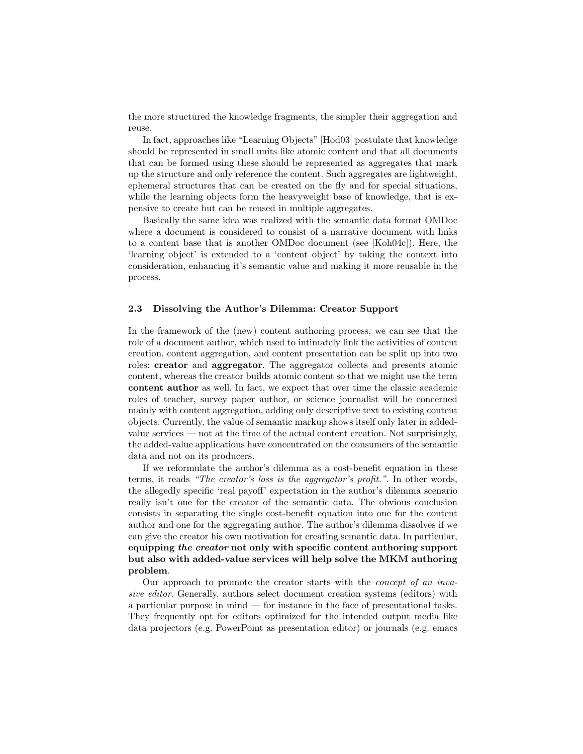the more structured the knowledge fragments, the simpler their aggregation and reuse.

In fact, approaches like "Learning Objects" [Hod03] postulate that knowledge should be represented in small units like atomic content and that all documents that can be formed using these should be represented as aggregates that mark up the structure and only reference the content. Such aggregates are lightweight, ephemeral structures that can be created on the fly and for special situations, while the learning objects form the heavyweight base of knowledge, that is expensive to create but can be reused in multiple aggregates.

Basically the same idea was realized with the semantic data format OMDoc where a document is considered to consist of a narrative document with links to a content base that is another OMDoc document (see [Koh04c]). Here, the 'learning object' is extended to a 'content object' by taking the context into consideration, enhancing it's semantic value and making it more reusable in the process.

#### 2.3 Dissolving the Author's Dilemma: Creator Support

In the framework of the (new) content authoring process, we can see that the role of a document author, which used to intimately link the activities of content creation, content aggregation, and content presentation can be split up into two roles: creator and aggregator. The aggregator collects and presents atomic content, whereas the creator builds atomic content so that we might use the term content author as well. In fact, we expect that over time the classic academic roles of teacher, survey paper author, or science journalist will be concerned mainly with content aggregation, adding only descriptive text to existing content objects. Currently, the value of semantic markup shows itself only later in addedvalue services — not at the time of the actual content creation. Not surprisingly, the added-value applications have concentrated on the consumers of the semantic data and not on its producers.

If we reformulate the author's dilemma as a cost-benefit equation in these terms, it reads "The creator's loss is the aggregator's profit.". In other words, the allegedly specific 'real payoff' expectation in the author's dilemma scenario really isn't one for the creator of the semantic data. The obvious conclusion consists in separating the single cost-benefit equation into one for the content author and one for the aggregating author. The author's dilemma dissolves if we can give the creator his own motivation for creating semantic data. In particular, equipping the creator not only with specific content authoring support but also with added-value services will help solve the MKM authoring problem.

Our approach to promote the creator starts with the concept of an invasive editor. Generally, authors select document creation systems (editors) with a particular purpose in mind — for instance in the face of presentational tasks. They frequently opt for editors optimized for the intended output media like data projectors (e.g. PowerPoint as presentation editor) or journals (e.g. emacs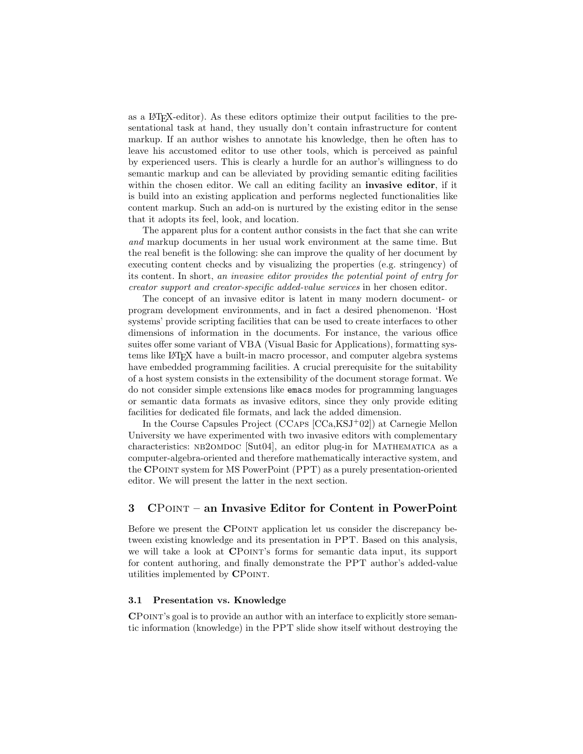as a LATEX-editor). As these editors optimize their output facilities to the presentational task at hand, they usually don't contain infrastructure for content markup. If an author wishes to annotate his knowledge, then he often has to leave his accustomed editor to use other tools, which is perceived as painful by experienced users. This is clearly a hurdle for an author's willingness to do semantic markup and can be alleviated by providing semantic editing facilities within the chosen editor. We call an editing facility an **invasive editor**, if it is build into an existing application and performs neglected functionalities like content markup. Such an add-on is nurtured by the existing editor in the sense that it adopts its feel, look, and location.

The apparent plus for a content author consists in the fact that she can write and markup documents in her usual work environment at the same time. But the real benefit is the following: she can improve the quality of her document by executing content checks and by visualizing the properties (e.g. stringency) of its content. In short, an invasive editor provides the potential point of entry for creator support and creator-specific added-value services in her chosen editor.

The concept of an invasive editor is latent in many modern document- or program development environments, and in fact a desired phenomenon. 'Host systems' provide scripting facilities that can be used to create interfaces to other dimensions of information in the documents. For instance, the various office suites offer some variant of VBA (Visual Basic for Applications), formatting systems like LATEX have a built-in macro processor, and computer algebra systems have embedded programming facilities. A crucial prerequisite for the suitability of a host system consists in the extensibility of the document storage format. We do not consider simple extensions like emacs modes for programming languages or semantic data formats as invasive editors, since they only provide editing facilities for dedicated file formats, and lack the added dimension.

In the Course Capsules Project (CCaps [CCa,KSJ+02]) at Carnegie Mellon University we have experimented with two invasive editors with complementary characteristics:  $NB2OMDOC$  [Sut04], an editor plug-in for MATHEMATICA as a computer-algebra-oriented and therefore mathematically interactive system, and the CPoint system for MS PowerPoint (PPT) as a purely presentation-oriented editor. We will present the latter in the next section.

# 3 CPoint – an Invasive Editor for Content in PowerPoint

Before we present the CPOINT application let us consider the discrepancy between existing knowledge and its presentation in PPT. Based on this analysis, we will take a look at **CPOINT**'s forms for semantic data input, its support for content authoring, and finally demonstrate the PPT author's added-value utilities implemented by CPoint.

#### 3.1 Presentation vs. Knowledge

CPoint's goal is to provide an author with an interface to explicitly store semantic information (knowledge) in the PPT slide show itself without destroying the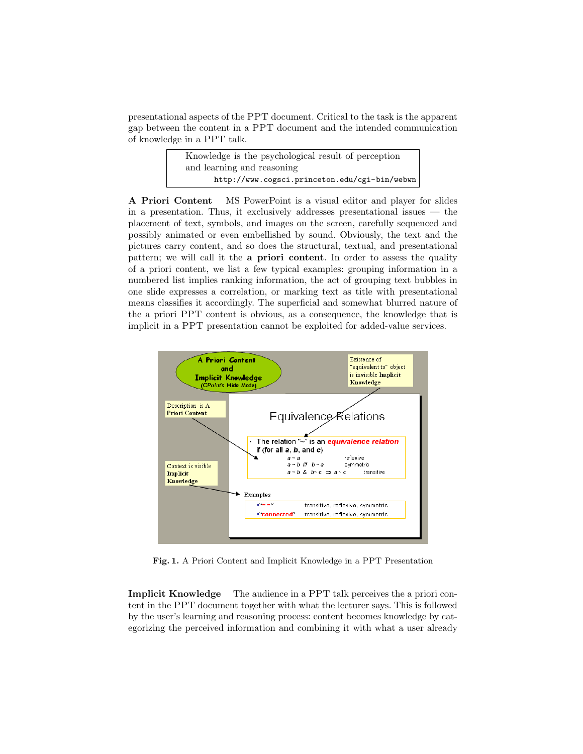presentational aspects of the PPT document. Critical to the task is the apparent gap between the content in a PPT document and the intended communication of knowledge in a PPT talk.

> Knowledge is the psychological result of perception and learning and reasoning http://www.cogsci.princeton.edu/cgi-bin/webwn

A Priori Content MS PowerPoint is a visual editor and player for slides in a presentation. Thus, it exclusively addresses presentational issues — the placement of text, symbols, and images on the screen, carefully sequenced and possibly animated or even embellished by sound. Obviously, the text and the pictures carry content, and so does the structural, textual, and presentational pattern; we will call it the a priori content. In order to assess the quality of a priori content, we list a few typical examples: grouping information in a numbered list implies ranking information, the act of grouping text bubbles in one slide expresses a correlation, or marking text as title with presentational means classifies it accordingly. The superficial and somewhat blurred nature of the a priori PPT content is obvious, as a consequence, the knowledge that is implicit in a PPT presentation cannot be exploited for added-value services.



Fig. 1. A Priori Content and Implicit Knowledge in a PPT Presentation

Implicit Knowledge The audience in a PPT talk perceives the a priori content in the PPT document together with what the lecturer says. This is followed by the user's learning and reasoning process: content becomes knowledge by categorizing the perceived information and combining it with what a user already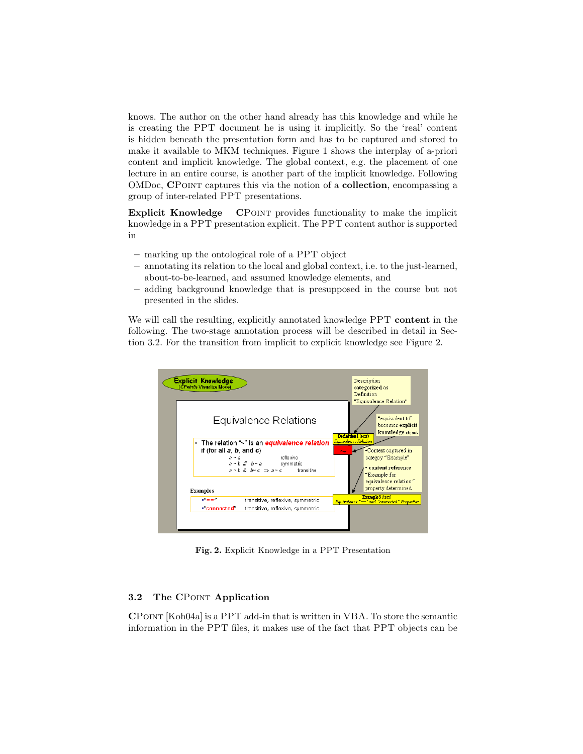knows. The author on the other hand already has this knowledge and while he is creating the PPT document he is using it implicitly. So the 'real' content is hidden beneath the presentation form and has to be captured and stored to make it available to MKM techniques. Figure 1 shows the interplay of a-priori content and implicit knowledge. The global context, e.g. the placement of one lecture in an entire course, is another part of the implicit knowledge. Following OMDoc, CPoint captures this via the notion of a collection, encompassing a group of inter-related PPT presentations.

Explicit Knowledge CPOINT provides functionality to make the implicit knowledge in a PPT presentation explicit. The PPT content author is supported in

- marking up the ontological role of a PPT object
- annotating its relation to the local and global context, i.e. to the just-learned, about-to-be-learned, and assumed knowledge elements, and
- adding background knowledge that is presupposed in the course but not presented in the slides.

We will call the resulting, explicitly annotated knowledge PPT content in the following. The two-stage annotation process will be described in detail in Section 3.2. For the transition from implicit to explicit knowledge see Figure 2.



Fig. 2. Explicit Knowledge in a PPT Presentation

# 3.2 The CPOINT Application

CPoint [Koh04a] is a PPT add-in that is written in VBA. To store the semantic information in the PPT files, it makes use of the fact that PPT objects can be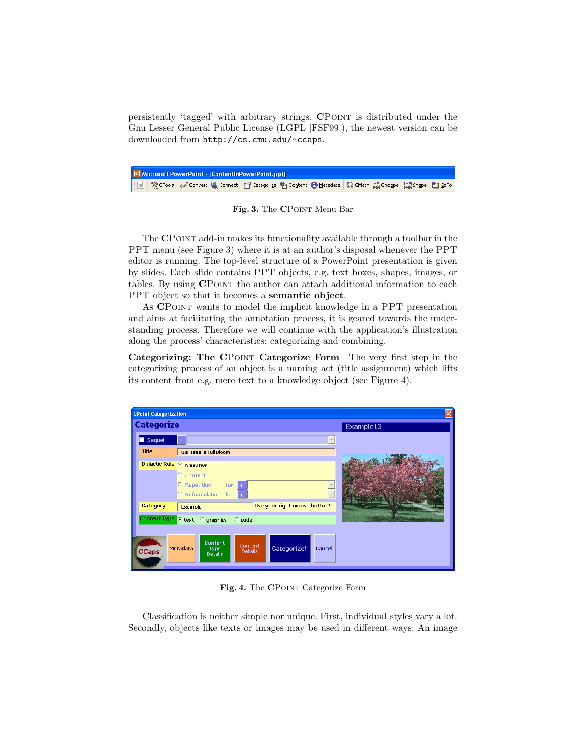persistently 'tagged' with arbitrary strings. CPoint is distributed under the Gnu Lesser General Public License (LGPL [FSF99]), the newest version can be downloaded from http://cs.cmu.edu/~ccaps.



Fig. 3. The CPoint Menu Bar

The CPoint add-in makes its functionality available through a toolbar in the PPT menu (see Figure 3) where it is at an author's disposal whenever the PPT editor is running. The top-level structure of a PowerPoint presentation is given by slides. Each slide contains PPT objects, e.g. text boxes, shapes, images, or tables. By using CPOINT the author can attach additional information to each PPT object so that it becomes a semantic object.

As CPoint wants to model the implicit knowledge in a PPT presentation and aims at facilitating the annotation process, it is geared towards the understanding process. Therefore we will continue with the application's illustration along the process' characteristics: categorizing and combining.

Categorizing: The CPOINT Categorize Form The very first step in the categorizing process of an object is a naming act (title assignment) which lifts its content from e.g. mere text to a knowledge object (see Figure 4).

| <b>CPoint Categorization</b> |                                                                                                                                                                 |           |
|------------------------------|-----------------------------------------------------------------------------------------------------------------------------------------------------------------|-----------|
| Categorize                   |                                                                                                                                                                 | Example13 |
| $\Box$ Sequel                | $\overline{\mathbf{v}}$                                                                                                                                         |           |
| <b>Title</b>                 | <b>Our Tree in Full Bloom</b>                                                                                                                                   |           |
| Didactic Role @ Narrative    | $C$ Content<br>C Repetition<br>for<br>C Reformulation for                                                                                                       |           |
| <b>Category</b>              | Use your right mouse button!<br>Example                                                                                                                         |           |
| <b>CCaps</b>                 | Content Type C text C graphics<br>$C$ code<br><b>Content</b><br><b>Content</b><br>Categorize!<br>Metadata<br>Cancel<br>Type<br><b>Details</b><br><b>Details</b> |           |

Fig. 4. The CPOINT Categorize Form

Classification is neither simple nor unique. First, individual styles vary a lot. Secondly, objects like texts or images may be used in different ways: An image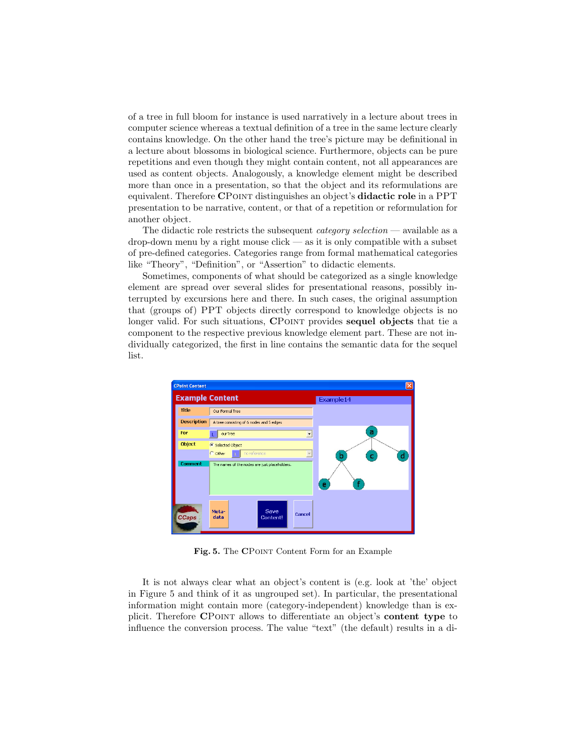of a tree in full bloom for instance is used narratively in a lecture about trees in computer science whereas a textual definition of a tree in the same lecture clearly contains knowledge. On the other hand the tree's picture may be definitional in a lecture about blossoms in biological science. Furthermore, objects can be pure repetitions and even though they might contain content, not all appearances are used as content objects. Analogously, a knowledge element might be described more than once in a presentation, so that the object and its reformulations are equivalent. Therefore CPOINT distinguishes an object's **didactic role** in a PPT presentation to be narrative, content, or that of a repetition or reformulation for another object.

The didactic role restricts the subsequent *category selection* — available as a drop-down menu by a right mouse click — as it is only compatible with a subset of pre-defined categories. Categories range from formal mathematical categories like "Theory", "Definition", or "Assertion" to didactic elements.

Sometimes, components of what should be categorized as a single knowledge element are spread over several slides for presentational reasons, possibly interrupted by excursions here and there. In such cases, the original assumption that (groups of) PPT objects directly correspond to knowledge objects is no longer valid. For such situations, CPOINT provides sequel objects that tie a component to the respective previous knowledge element part. These are not individually categorized, the first in line contains the semantic data for the sequel list.



Fig. 5. The CPoint Content Form for an Example

It is not always clear what an object's content is (e.g. look at 'the' object in Figure 5 and think of it as ungrouped set). In particular, the presentational information might contain more (category-independent) knowledge than is explicit. Therefore CPOINT allows to differentiate an object's content type to influence the conversion process. The value "text" (the default) results in a di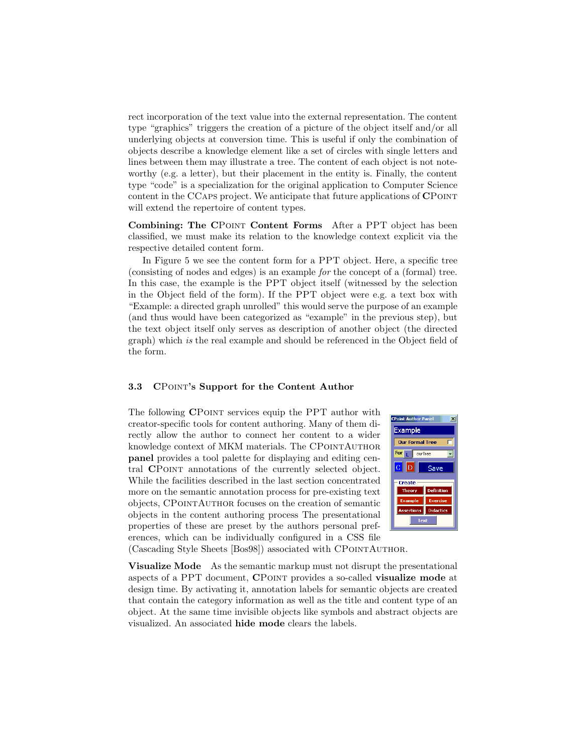rect incorporation of the text value into the external representation. The content type "graphics" triggers the creation of a picture of the object itself and/or all underlying objects at conversion time. This is useful if only the combination of objects describe a knowledge element like a set of circles with single letters and lines between them may illustrate a tree. The content of each object is not noteworthy (e.g. a letter), but their placement in the entity is. Finally, the content type "code" is a specialization for the original application to Computer Science content in the CCaps project. We anticipate that future applications of CPoint will extend the repertoire of content types.

Combining: The CPOINT Content Forms After a PPT object has been classified, we must make its relation to the knowledge context explicit via the respective detailed content form.

In Figure 5 we see the content form for a PPT object. Here, a specific tree (consisting of nodes and edges) is an example for the concept of a (formal) tree. In this case, the example is the PPT object itself (witnessed by the selection in the Object field of the form). If the PPT object were e.g. a text box with "Example: a directed graph unrolled" this would serve the purpose of an example (and thus would have been categorized as "example" in the previous step), but the text object itself only serves as description of another object (the directed graph) which is the real example and should be referenced in the Object field of the form.

#### 3.3 CPoint's Support for the Content Author

The following CPOINT services equip the PPT author with creator-specific tools for content authoring. Many of them directly allow the author to connect her content to a wider knowledge context of MKM materials. The CPOINTAUTHOR panel provides a tool palette for displaying and editing central CPoint annotations of the currently selected object. While the facilities described in the last section concentrated more on the semantic annotation process for pre-existing text objects, CPointAuthor focuses on the creation of semantic objects in the content authoring process The presentational properties of these are preset by the authors personal preferences, which can be individually configured in a CSS file



(Cascading Style Sheets [Bos98]) associated with CPOINTAUTHOR.

Visualize Mode As the semantic markup must not disrupt the presentational aspects of a PPT document, CPoint provides a so-called visualize mode at design time. By activating it, annotation labels for semantic objects are created that contain the category information as well as the title and content type of an object. At the same time invisible objects like symbols and abstract objects are visualized. An associated hide mode clears the labels.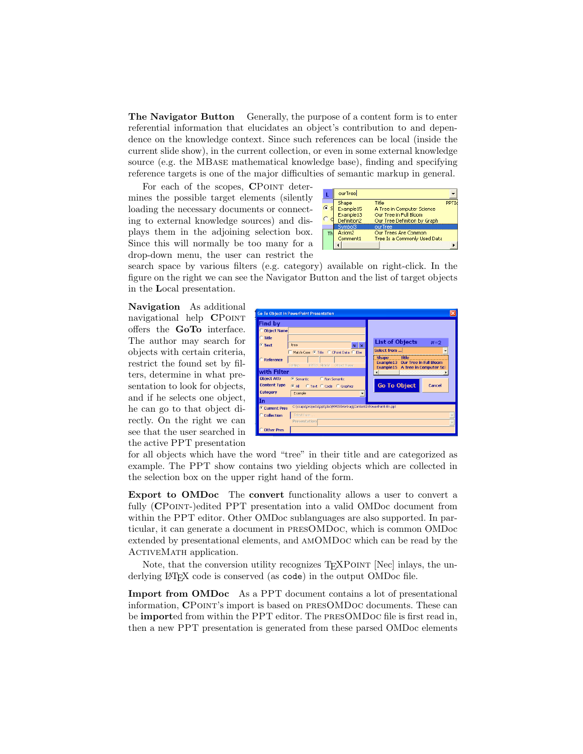The Navigator Button Generally, the purpose of a content form is to enter referential information that elucidates an object's contribution to and dependence on the knowledge context. Since such references can be local (inside the current slide show), in the current collection, or even in some external knowledge source (e.g. the MBase mathematical knowledge base), finding and specifying reference targets is one of the major difficulties of semantic markup in general.

For each of the scopes, CPOINT determines the possible target elements (silently loading the necessary documents or connecting to external knowledge sources) and displays them in the adjoining selection box. Since this will normally be too many for a drop-down menu, the user can restrict the



search space by various filters (e.g. category) available on right-click. In the figure on the right we can see the Navigator Button and the list of target objects in the Local presentation.

Navigation As additional navigational help **CPOINT** offers the GoTo interface. The author may search for objects with certain criteria, restrict the found set by filters, determine in what presentation to look for objects, and if he selects one object, he can go to that object directly. On the right we can see that the user searched in the active PPT presentation



for all objects which have the word "tree" in their title and are categorized as example. The PPT show contains two yielding objects which are collected in the selection box on the upper right hand of the form.

Export to OMDoc The convert functionality allows a user to convert a fully (CPoint-)edited PPT presentation into a valid OMDoc document from within the PPT editor. Other OMDoc sublanguages are also supported. In particular, it can generate a document in presOMDoc, which is common OMDoc extended by presentational elements, and amOMDoc which can be read by the ACTIVEMATH application.

Note, that the conversion utility recognizes T<sub>E</sub>XPOINT [Nec] inlays, the underlying LAT<sub>EX</sub> code is conserved (as code) in the output OMDoc file.

Import from OMDoc As a PPT document contains a lot of presentational information, CPoint's import is based on presOMDoc documents. These can be imported from within the PPT editor. The presOMDoc file is first read in, then a new PPT presentation is generated from these parsed OMDoc elements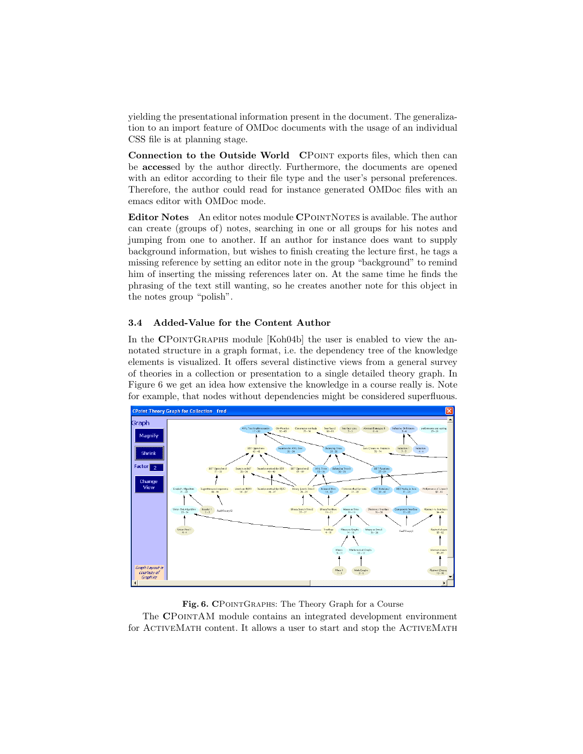yielding the presentational information present in the document. The generalization to an import feature of OMDoc documents with the usage of an individual CSS file is at planning stage.

Connection to the Outside World CPOINT exports files, which then can be accessed by the author directly. Furthermore, the documents are opened with an editor according to their file type and the user's personal preferences. Therefore, the author could read for instance generated OMDoc files with an emacs editor with OMDoc mode.

Editor Notes An editor notes module CPOINTNOTES is available. The author can create (groups of) notes, searching in one or all groups for his notes and jumping from one to another. If an author for instance does want to supply background information, but wishes to finish creating the lecture first, he tags a missing reference by setting an editor note in the group "background" to remind him of inserting the missing references later on. At the same time he finds the phrasing of the text still wanting, so he creates another note for this object in the notes group "polish".

## 3.4 Added-Value for the Content Author

In the CPOINTGRAPHS module [Koh04b] the user is enabled to view the annotated structure in a graph format, i.e. the dependency tree of the knowledge elements is visualized. It offers several distinctive views from a general survey of theories in a collection or presentation to a single detailed theory graph. In Figure 6 we get an idea how extensive the knowledge in a course really is. Note for example, that nodes without dependencies might be considered superfluous.



Fig. 6. CPointGraphs: The Theory Graph for a Course

The CPointAM module contains an integrated development environment for ACTIVEMATH content. It allows a user to start and stop the ACTIVEMATH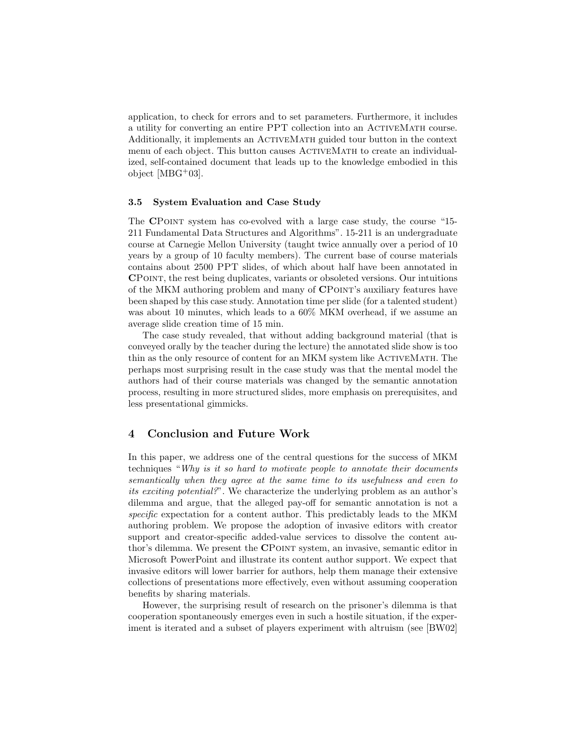application, to check for errors and to set parameters. Furthermore, it includes a utility for converting an entire PPT collection into an ActiveMath course. Additionally, it implements an ActiveMath guided tour button in the context menu of each object. This button causes ACTIVEMATH to create an individualized, self-contained document that leads up to the knowledge embodied in this object [ $MBG+03$ ].

#### 3.5 System Evaluation and Case Study

The CPoint system has co-evolved with a large case study, the course "15- 211 Fundamental Data Structures and Algorithms". 15-211 is an undergraduate course at Carnegie Mellon University (taught twice annually over a period of 10 years by a group of 10 faculty members). The current base of course materials contains about 2500 PPT slides, of which about half have been annotated in CPoint, the rest being duplicates, variants or obsoleted versions. Our intuitions of the MKM authoring problem and many of CPoint's auxiliary features have been shaped by this case study. Annotation time per slide (for a talented student) was about 10 minutes, which leads to a 60% MKM overhead, if we assume an average slide creation time of 15 min.

The case study revealed, that without adding background material (that is conveyed orally by the teacher during the lecture) the annotated slide show is too thin as the only resource of content for an MKM system like ActiveMath. The perhaps most surprising result in the case study was that the mental model the authors had of their course materials was changed by the semantic annotation process, resulting in more structured slides, more emphasis on prerequisites, and less presentational gimmicks.

# 4 Conclusion and Future Work

In this paper, we address one of the central questions for the success of MKM techniques "Why is it so hard to motivate people to annotate their documents semantically when they agree at the same time to its usefulness and even to its exciting potential?". We characterize the underlying problem as an author's dilemma and argue, that the alleged pay-off for semantic annotation is not a specific expectation for a content author. This predictably leads to the MKM authoring problem. We propose the adoption of invasive editors with creator support and creator-specific added-value services to dissolve the content author's dilemma. We present the CPoint system, an invasive, semantic editor in Microsoft PowerPoint and illustrate its content author support. We expect that invasive editors will lower barrier for authors, help them manage their extensive collections of presentations more effectively, even without assuming cooperation benefits by sharing materials.

However, the surprising result of research on the prisoner's dilemma is that cooperation spontaneously emerges even in such a hostile situation, if the experiment is iterated and a subset of players experiment with altruism (see [BW02]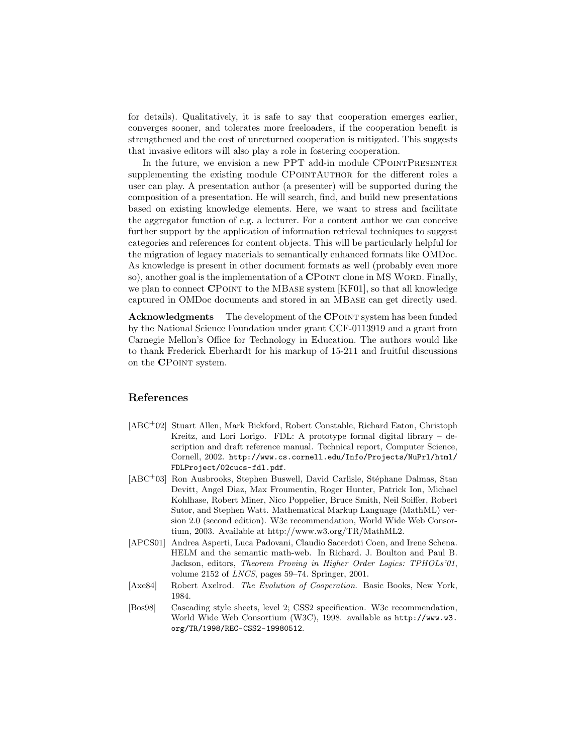for details). Qualitatively, it is safe to say that cooperation emerges earlier, converges sooner, and tolerates more freeloaders, if the cooperation benefit is strengthened and the cost of unreturned cooperation is mitigated. This suggests that invasive editors will also play a role in fostering cooperation.

In the future, we envision a new PPT add-in module CPOINTPRESENTER supplementing the existing module CPOINTAUTHOR for the different roles a user can play. A presentation author (a presenter) will be supported during the composition of a presentation. He will search, find, and build new presentations based on existing knowledge elements. Here, we want to stress and facilitate the aggregator function of e.g. a lecturer. For a content author we can conceive further support by the application of information retrieval techniques to suggest categories and references for content objects. This will be particularly helpful for the migration of legacy materials to semantically enhanced formats like OMDoc. As knowledge is present in other document formats as well (probably even more so), another goal is the implementation of a CPOINT clone in MS WORD. Finally, we plan to connect CPOINT to the MBASE system [KF01], so that all knowledge captured in OMDoc documents and stored in an MBase can get directly used.

Acknowledgments The development of the CPOINT system has been funded by the National Science Foundation under grant CCF-0113919 and a grant from Carnegie Mellon's Office for Technology in Education. The authors would like to thank Frederick Eberhardt for his markup of 15-211 and fruitful discussions on the CPoint system.

# References

- [ABC<sup>+</sup>02] Stuart Allen, Mark Bickford, Robert Constable, Richard Eaton, Christoph Kreitz, and Lori Lorigo. FDL: A prototype formal digital library  $-$  description and draft reference manual. Technical report, Computer Science, Cornell, 2002. http://www.cs.cornell.edu/Info/Projects/NuPrl/html/ FDLProject/02cucs-fdl.pdf.
- [ABC<sup>+</sup>03] Ron Ausbrooks, Stephen Buswell, David Carlisle, Stéphane Dalmas, Stan Devitt, Angel Diaz, Max Froumentin, Roger Hunter, Patrick Ion, Michael Kohlhase, Robert Miner, Nico Poppelier, Bruce Smith, Neil Soiffer, Robert Sutor, and Stephen Watt. Mathematical Markup Language (MathML) version 2.0 (second edition). W3c recommendation, World Wide Web Consortium, 2003. Available at http://www.w3.org/TR/MathML2.
- [APCS01] Andrea Asperti, Luca Padovani, Claudio Sacerdoti Coen, and Irene Schena. HELM and the semantic math-web. In Richard. J. Boulton and Paul B. Jackson, editors, Theorem Proving in Higher Order Logics: TPHOLs'01, volume 2152 of LNCS, pages 59–74. Springer, 2001.
- [Axe84] Robert Axelrod. The Evolution of Cooperation. Basic Books, New York, 1984.
- [Bos98] Cascading style sheets, level 2; CSS2 specification. W3c recommendation, World Wide Web Consortium (W3C), 1998. available as http://www.w3. org/TR/1998/REC-CSS2-19980512.